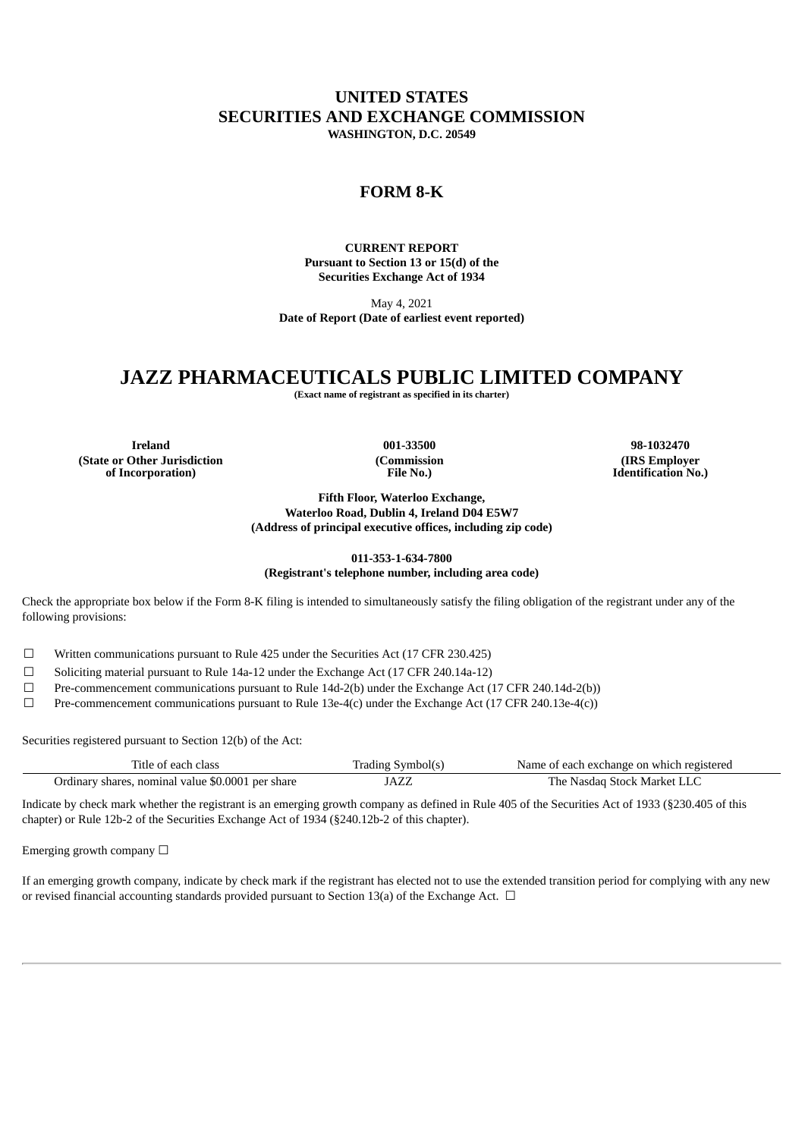## **UNITED STATES SECURITIES AND EXCHANGE COMMISSION WASHINGTON, D.C. 20549**

## **FORM 8-K**

**CURRENT REPORT Pursuant to Section 13 or 15(d) of the Securities Exchange Act of 1934**

May 4, 2021 **Date of Report (Date of earliest event reported)**

## **JAZZ PHARMACEUTICALS PUBLIC LIMITED COMPANY**

**(Exact name of registrant as specified in its charter)**

**Ireland 001-33500 98-1032470 (State or Other Jurisdiction of Incorporation)**

**(Commission File No.)**

**(IRS Employer Identification No.)**

**Fifth Floor, Waterloo Exchange, Waterloo Road, Dublin 4, Ireland D04 E5W7 (Address of principal executive offices, including zip code)**

#### **011-353-1-634-7800 (Registrant's telephone number, including area code)**

Check the appropriate box below if the Form 8-K filing is intended to simultaneously satisfy the filing obligation of the registrant under any of the following provisions:

☐ Written communications pursuant to Rule 425 under the Securities Act (17 CFR 230.425)

☐ Soliciting material pursuant to Rule 14a-12 under the Exchange Act (17 CFR 240.14a-12)

☐ Pre-commencement communications pursuant to Rule 14d-2(b) under the Exchange Act (17 CFR 240.14d-2(b))

 $□$  Pre-commencement communications pursuant to Rule 13e-4(c) under the Exchange Act (17 CFR 240.13e-4(c))

Securities registered pursuant to Section 12(b) of the Act:

| Title of each class                               | Trading Symbol(s) | Name of each exchange on which registered |
|---------------------------------------------------|-------------------|-------------------------------------------|
| Ordinary shares, nominal value \$0.0001 per share | JAZZ              | The Nasdaq Stock Market LLC               |

Indicate by check mark whether the registrant is an emerging growth company as defined in Rule 405 of the Securities Act of 1933 (§230.405 of this chapter) or Rule 12b-2 of the Securities Exchange Act of 1934 (§240.12b-2 of this chapter).

Emerging growth company  $\Box$ 

If an emerging growth company, indicate by check mark if the registrant has elected not to use the extended transition period for complying with any new or revised financial accounting standards provided pursuant to Section 13(a) of the Exchange Act.  $\Box$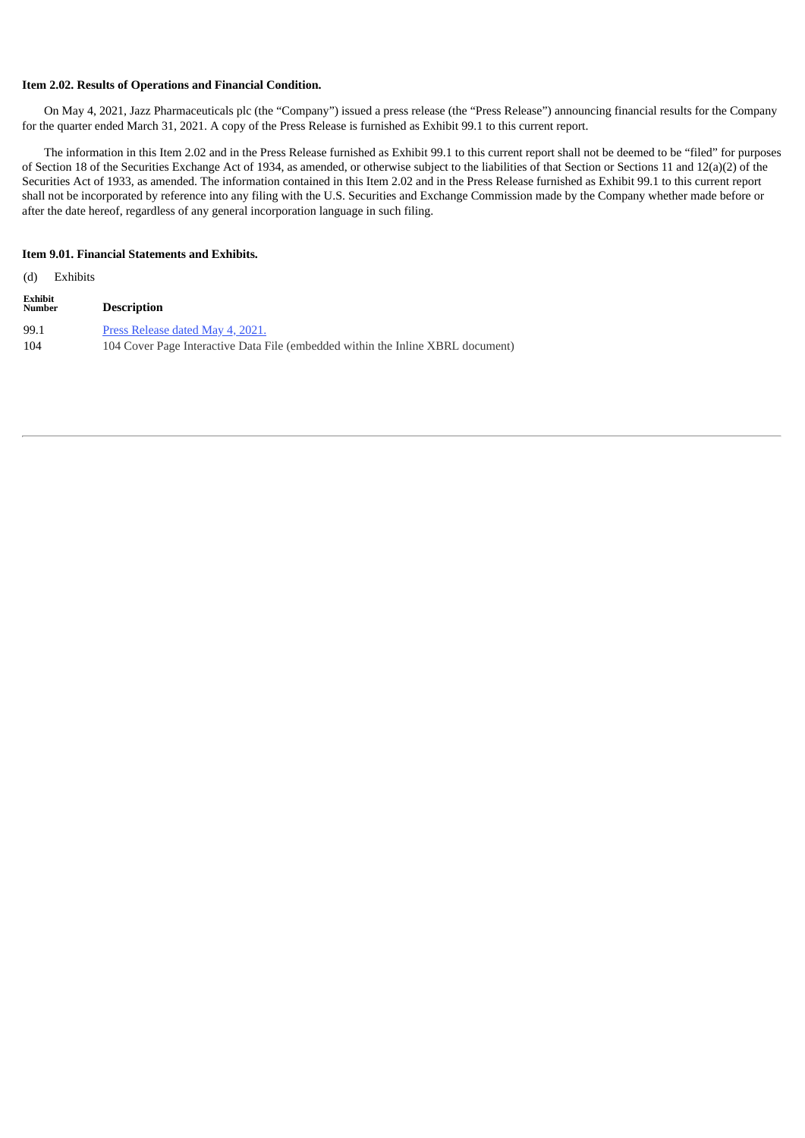#### **Item 2.02. Results of Operations and Financial Condition.**

On May 4, 2021, Jazz Pharmaceuticals plc (the "Company") issued a press release (the "Press Release") announcing financial results for the Company for the quarter ended March 31, 2021. A copy of the Press Release is furnished as Exhibit 99.1 to this current report.

The information in this Item 2.02 and in the Press Release furnished as Exhibit 99.1 to this current report shall not be deemed to be "filed" for purposes of Section 18 of the Securities Exchange Act of 1934, as amended, or otherwise subject to the liabilities of that Section or Sections 11 and 12(a)(2) of the Securities Act of 1933, as amended. The information contained in this Item 2.02 and in the Press Release furnished as Exhibit 99.1 to this current report shall not be incorporated by reference into any filing with the U.S. Securities and Exchange Commission made by the Company whether made before or after the date hereof, regardless of any general incorporation language in such filing.

#### **Item 9.01. Financial Statements and Exhibits.**

| (d)                      | Exhibits |                                                                                                                     |
|--------------------------|----------|---------------------------------------------------------------------------------------------------------------------|
| Exhibit<br><b>Number</b> |          | <b>Description</b>                                                                                                  |
| 99.1<br>104              |          | Press Release dated May 4, 2021.<br>104 Cover Page Interactive Data File (embedded within the Inline XBRL document) |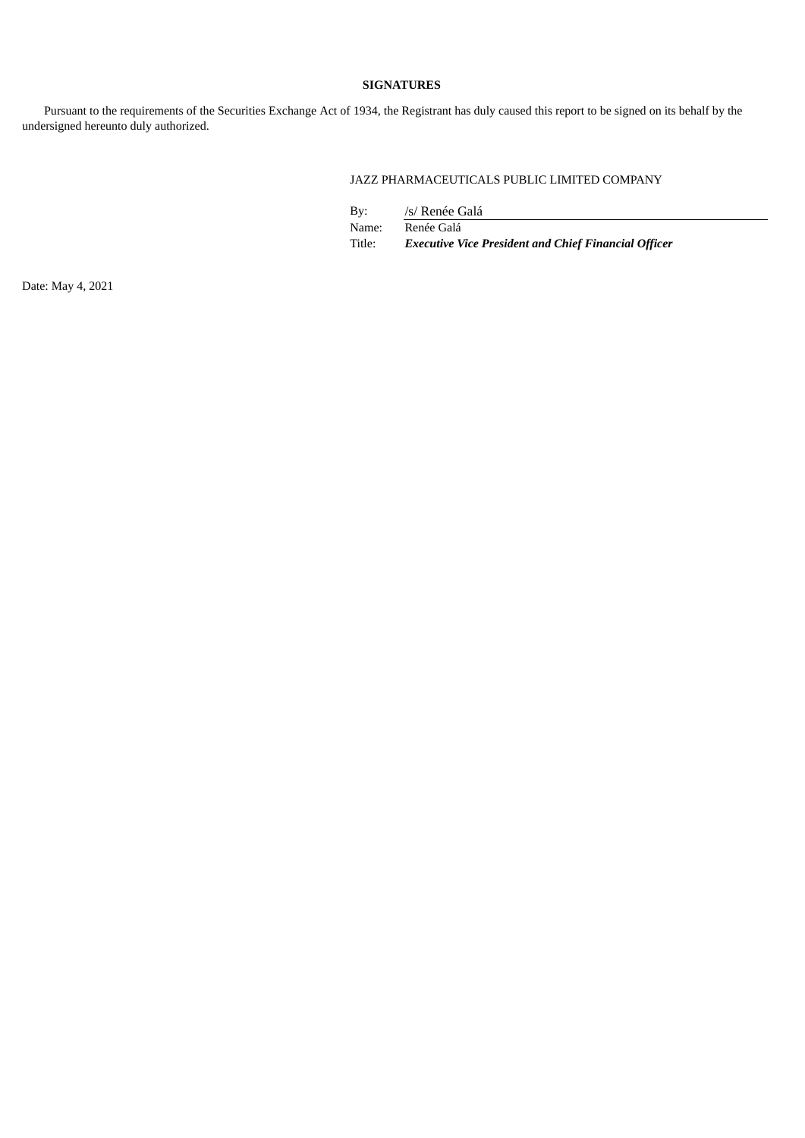#### **SIGNATURES**

Pursuant to the requirements of the Securities Exchange Act of 1934, the Registrant has duly caused this report to be signed on its behalf by the undersigned hereunto duly authorized.

### JAZZ PHARMACEUTICALS PUBLIC LIMITED COMPANY

| Bv:    | /s/ Renée Galá                                              |
|--------|-------------------------------------------------------------|
| Name:  | Renée Galá                                                  |
| Title: | <b>Executive Vice President and Chief Financial Officer</b> |

Date: May 4, 2021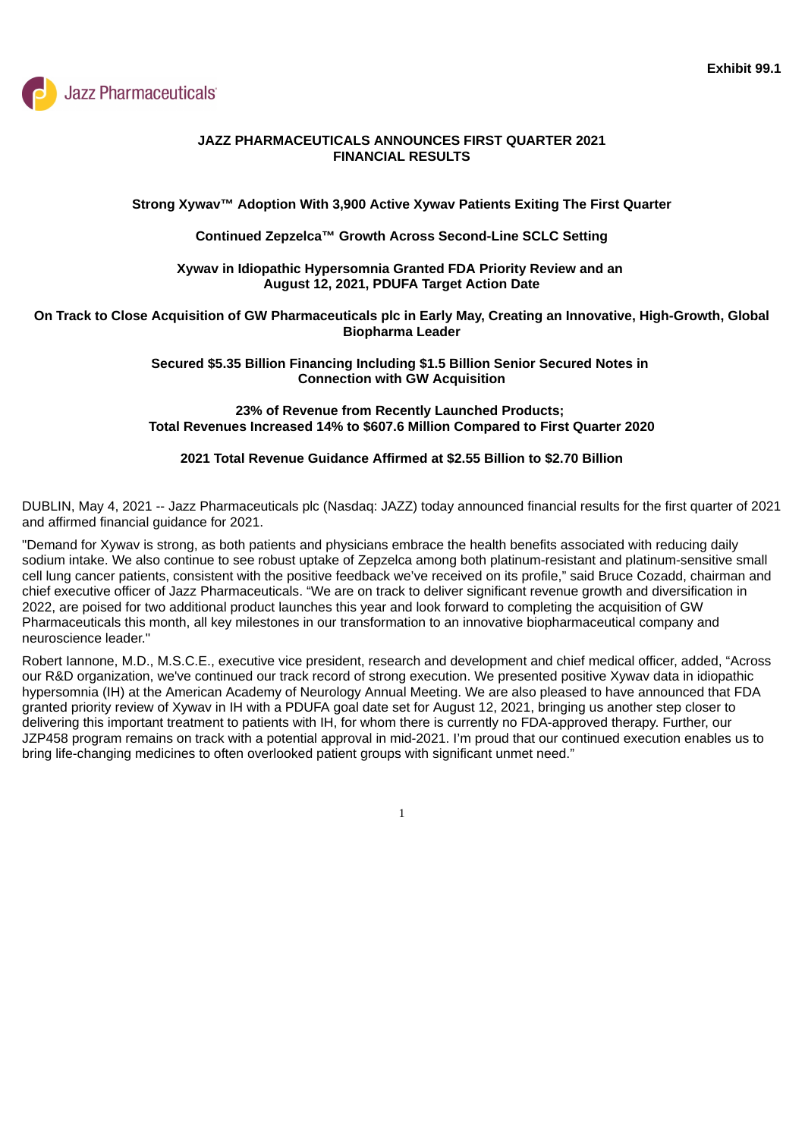<span id="page-3-0"></span>

### **JAZZ PHARMACEUTICALS ANNOUNCES FIRST QUARTER 2021 FINANCIAL RESULTS**

### **Strong Xywav™ Adoption With 3,900 Active Xywav Patients Exiting The First Quarter**

#### **Continued Zepzelca™ Growth Across Second-Line SCLC Setting**

#### **Xywav in Idiopathic Hypersomnia Granted FDA Priority Review and an August 12, 2021, PDUFA Target Action Date**

#### On Track to Close Acquisition of GW Pharmaceuticals plc in Early May, Creating an Innovative, High-Growth, Global **Biopharma Leader**

#### **Secured \$5.35 Billion Financing Including \$1.5 Billion Senior Secured Notes in Connection with GW Acquisition**

### **23% of Revenue from Recently Launched Products; Total Revenues Increased 14% to \$607.6 Million Compared to First Quarter 2020**

#### **2021 Total Revenue Guidance Affirmed at \$2.55 Billion to \$2.70 Billion**

DUBLIN, May 4, 2021 -- Jazz Pharmaceuticals plc (Nasdaq: JAZZ) today announced financial results for the first quarter of 2021 and affirmed financial guidance for 2021.

"Demand for Xywav is strong, as both patients and physicians embrace the health benefits associated with reducing daily sodium intake. We also continue to see robust uptake of Zepzelca among both platinum-resistant and platinum-sensitive small cell lung cancer patients, consistent with the positive feedback we've received on its profile," said Bruce Cozadd, chairman and chief executive officer of Jazz Pharmaceuticals. "We are on track to deliver significant revenue growth and diversification in 2022, are poised for two additional product launches this year and look forward to completing the acquisition of GW Pharmaceuticals this month, all key milestones in our transformation to an innovative biopharmaceutical company and neuroscience leader."

Robert Iannone, M.D., M.S.C.E., executive vice president, research and development and chief medical officer, added, "Across our R&D organization, we've continued our track record of strong execution. We presented positive Xywav data in idiopathic hypersomnia (IH) at the American Academy of Neurology Annual Meeting. We are also pleased to have announced that FDA granted priority review of Xywav in IH with a PDUFA goal date set for August 12, 2021, bringing us another step closer to delivering this important treatment to patients with IH, for whom there is currently no FDA-approved therapy. Further, our JZP458 program remains on track with a potential approval in mid-2021. I'm proud that our continued execution enables us to bring life-changing medicines to often overlooked patient groups with significant unmet need."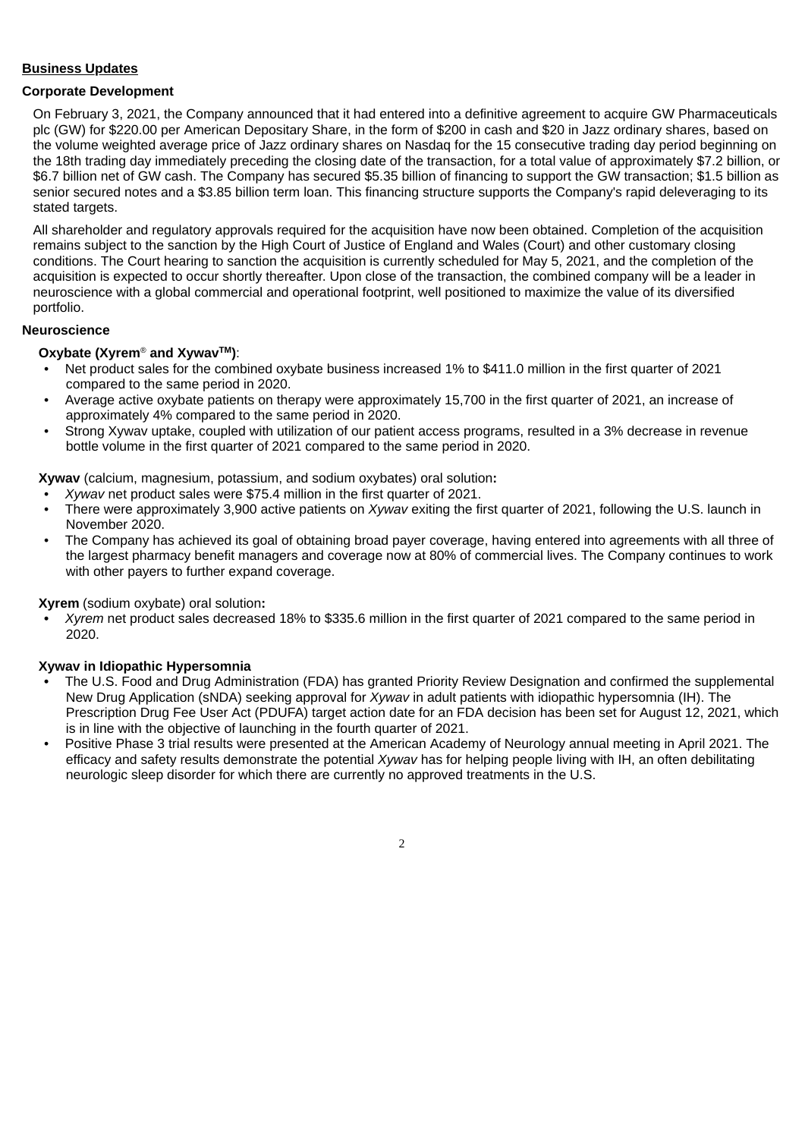### **Business Updates**

### **Corporate Development**

On February 3, 2021, the Company announced that it had entered into a definitive agreement to acquire GW Pharmaceuticals plc (GW) for \$220.00 per American Depositary Share, in the form of \$200 in cash and \$20 in Jazz ordinary shares, based on the volume weighted average price of Jazz ordinary shares on Nasdaq for the 15 consecutive trading day period beginning on the 18th trading day immediately preceding the closing date of the transaction, for a total value of approximately \$7.2 billion, or \$6.7 billion net of GW cash. The Company has secured \$5.35 billion of financing to support the GW transaction; \$1.5 billion as senior secured notes and a \$3.85 billion term loan. This financing structure supports the Company's rapid deleveraging to its stated targets.

All shareholder and regulatory approvals required for the acquisition have now been obtained. Completion of the acquisition remains subject to the sanction by the High Court of Justice of England and Wales (Court) and other customary closing conditions. The Court hearing to sanction the acquisition is currently scheduled for May 5, 2021, and the completion of the acquisition is expected to occur shortly thereafter. Upon close of the transaction, the combined company will be a leader in neuroscience with a global commercial and operational footprint, well positioned to maximize the value of its diversified portfolio.

#### **Neuroscience**

#### **Oxybate (Xyrem<sup>®</sup> and Xywav™):**

- Net product sales for the combined oxybate business increased 1% to \$411.0 million in the first quarter of 2021 compared to the same period in 2020.
- Average active oxybate patients on therapy were approximately 15,700 in the first quarter of 2021, an increase of approximately 4% compared to the same period in 2020.
- Strong Xywav uptake, coupled with utilization of our patient access programs, resulted in a 3% decrease in revenue bottle volume in the first quarter of 2021 compared to the same period in 2020.

**Xywav** (calcium, magnesium, potassium, and sodium oxybates) oral solution**:**

- *Xywav* net product sales were \$75.4 million in the first quarter of 2021.
- There were approximately 3,900 active patients on *Xywav* exiting the first quarter of 2021, following the U.S. launch in November 2020.
- The Company has achieved its goal of obtaining broad payer coverage, having entered into agreements with all three of the largest pharmacy benefit managers and coverage now at 80% of commercial lives. The Company continues to work with other payers to further expand coverage.

**Xyrem** (sodium oxybate) oral solution**:**

**•** *Xyrem* net product sales decreased 18% to \$335.6 million in the first quarter of 2021 compared to the same period in 2020.

#### **Xywav in Idiopathic Hypersomnia**

- **•** The U.S. Food and Drug Administration (FDA) has granted Priority Review Designation and confirmed the supplemental New Drug Application (sNDA) seeking approval for *Xywav* in adult patients with idiopathic hypersomnia (IH). The Prescription Drug Fee User Act (PDUFA) target action date for an FDA decision has been set for August 12, 2021, which is in line with the objective of launching in the fourth quarter of 2021.
- Positive Phase 3 trial results were presented at the American Academy of Neurology annual meeting in April 2021. The efficacy and safety results demonstrate the potential *Xywav* has for helping people living with IH, an often debilitating neurologic sleep disorder for which there are currently no approved treatments in the U.S.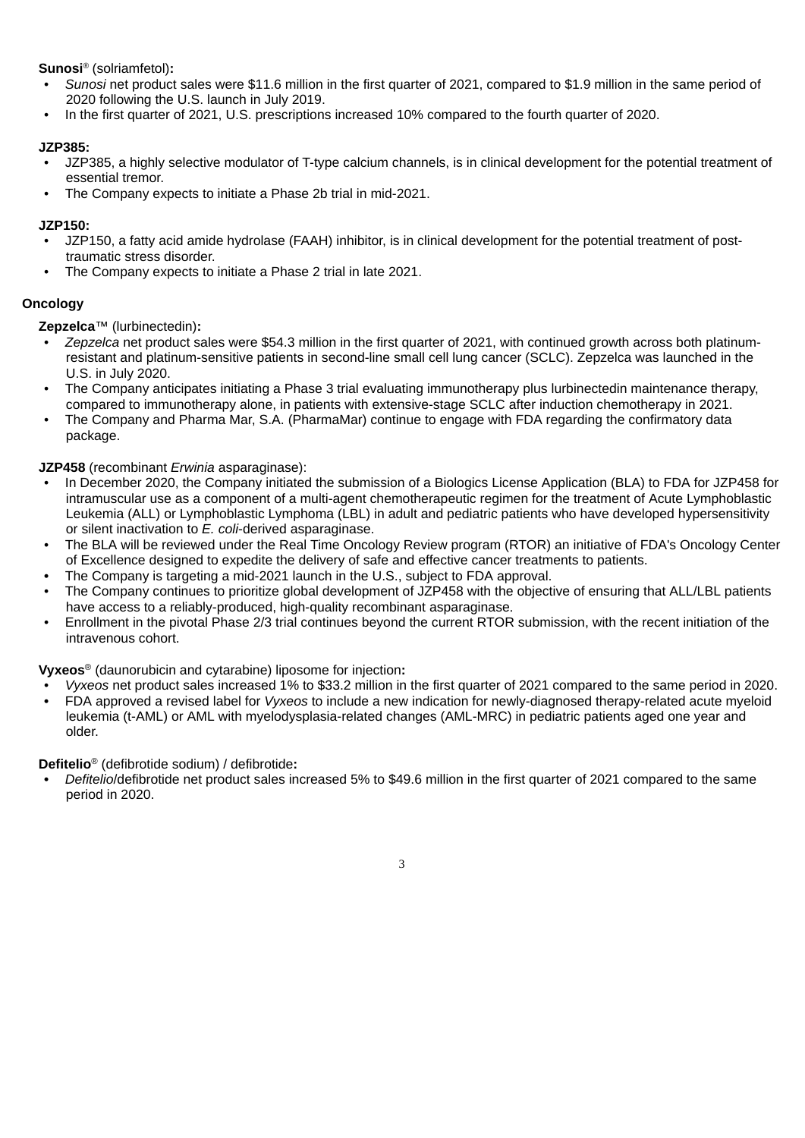**Sunosi**® (solriamfetol):

- *Sunosi* net product sales were \$11.6 million in the first quarter of 2021, compared to \$1.9 million in the same period of 2020 following the U.S. launch in July 2019.
- In the first quarter of 2021, U.S. prescriptions increased 10% compared to the fourth quarter of 2020.

### **JZP385:**

- JZP385, a highly selective modulator of T-type calcium channels, is in clinical development for the potential treatment of essential tremor.
- The Company expects to initiate a Phase 2b trial in mid-2021.

### **JZP150:**

- JZP150, a fatty acid amide hydrolase (FAAH) inhibitor, is in clinical development for the potential treatment of posttraumatic stress disorder.
- The Company expects to initiate a Phase 2 trial in late 2021.

## **Oncology**

**Zepzelca**™ (lurbinectedin)**:**

- *Zepzelca* net product sales were \$54.3 million in the first quarter of 2021, with continued growth across both platinumresistant and platinum-sensitive patients in second-line small cell lung cancer (SCLC). Zepzelca was launched in the U.S. in July 2020.
- The Company anticipates initiating a Phase 3 trial evaluating immunotherapy plus lurbinectedin maintenance therapy, compared to immunotherapy alone, in patients with extensive-stage SCLC after induction chemotherapy in 2021.
- The Company and Pharma Mar, S.A. (PharmaMar) continue to engage with FDA regarding the confirmatory data package.

**JZP458** (recombinant *Erwinia* asparaginase):

- In December 2020, the Company initiated the submission of a Biologics License Application (BLA) to FDA for JZP458 for intramuscular use as a component of a multi-agent chemotherapeutic regimen for the treatment of Acute Lymphoblastic Leukemia (ALL) or Lymphoblastic Lymphoma (LBL) in adult and pediatric patients who have developed hypersensitivity or silent inactivation to *E. coli*-derived asparaginase.
- The BLA will be reviewed under the Real Time Oncology Review program (RTOR) an initiative of FDA's Oncology Center of Excellence designed to expedite the delivery of safe and effective cancer treatments to patients.
- **•** The Company is targeting a mid-2021 launch in the U.S., subject to FDA approval.
- The Company continues to prioritize global development of JZP458 with the objective of ensuring that ALL/LBL patients have access to a reliably-produced, high-quality recombinant asparaginase.
- Enrollment in the pivotal Phase 2/3 trial continues beyond the current RTOR submission, with the recent initiation of the intravenous cohort.

**Vyxeos** (daunorubicin and cytarabine) liposome for injection**:** ®

- *Vyxeos* net product sales increased 1% to \$33.2 million in the first quarter of 2021 compared to the same period in 2020.
- **•** FDA approved a revised label for *Vyxeos* to include a new indication for newly-diagnosed therapy-related acute myeloid leukemia (t-AML) or AML with myelodysplasia-related changes (AML-MRC) in pediatric patients aged one year and older.

Defitelio<sup>®</sup> (defibrotide sodium) / defibrotide:

**•** *Defitelio*/defibrotide net product sales increased 5% to \$49.6 million in the first quarter of 2021 compared to the same period in 2020.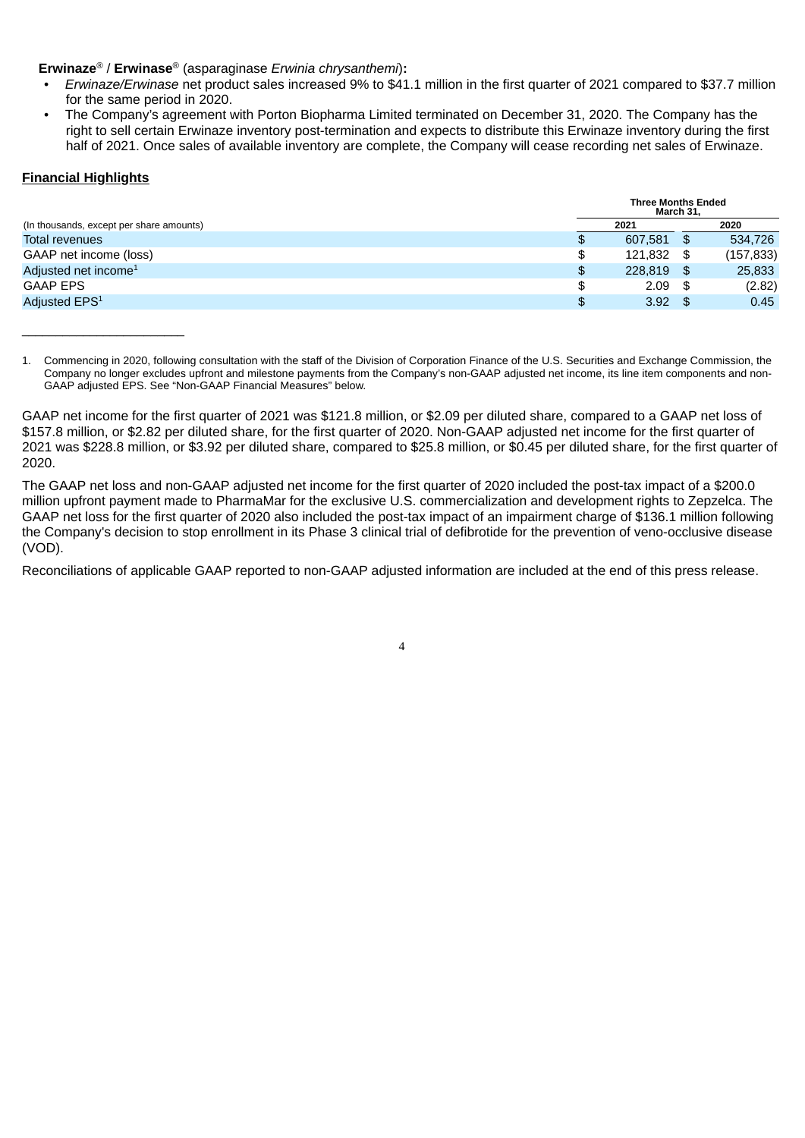### **Erwinaze** / **Erwinase** (asparaginase *Erwinia chrysanthemi*)**:** ® ®

- *Erwinaze/Erwinase* net product sales increased 9% to \$41.1 million in the first quarter of 2021 compared to \$37.7 million for the same period in 2020.
- The Company's agreement with Porton Biopharma Limited terminated on December 31, 2020. The Company has the right to sell certain Erwinaze inventory post-termination and expects to distribute this Erwinaze inventory during the first half of 2021. Once sales of available inventory are complete, the Company will cease recording net sales of Erwinaze.

#### **Financial Highlights**

 $\overline{\phantom{a}}$  , where  $\overline{\phantom{a}}$  , where  $\overline{\phantom{a}}$  , where  $\overline{\phantom{a}}$ 

|                                          |    | <b>Three Months Ended</b><br>March 31, |      |            |
|------------------------------------------|----|----------------------------------------|------|------------|
| (In thousands, except per share amounts) |    | 2021                                   |      | 2020       |
| Total revenues                           |    | 607.581                                | \$.  | 534.726    |
| GAAP net income (loss)                   | ۰  | 121.832                                | S    | (157, 833) |
| Adjusted net income <sup>1</sup>         | \$ | 228,819                                | -S   | 25,833     |
| <b>GAAP EPS</b>                          | £. | 2.09                                   | - 36 | (2.82)     |
| Adjusted EPS <sup>1</sup>                | \$ | 3.92                                   |      | 0.45       |

<sup>1.</sup> Commencing in 2020, following consultation with the staff of the Division of Corporation Finance of the U.S. Securities and Exchange Commission, the Company no longer excludes upfront and milestone payments from the Company's non-GAAP adjusted net income, its line item components and non-GAAP adjusted EPS. See "Non-GAAP Financial Measures" below.

GAAP net income for the first quarter of 2021 was \$121.8 million, or \$2.09 per diluted share, compared to a GAAP net loss of \$157.8 million, or \$2.82 per diluted share, for the first quarter of 2020. Non-GAAP adjusted net income for the first quarter of 2021 was \$228.8 million, or \$3.92 per diluted share, compared to \$25.8 million, or \$0.45 per diluted share, for the first quarter of 2020.

The GAAP net loss and non-GAAP adjusted net income for the first quarter of 2020 included the post-tax impact of a \$200.0 million upfront payment made to PharmaMar for the exclusive U.S. commercialization and development rights to Zepzelca. The GAAP net loss for the first quarter of 2020 also included the post-tax impact of an impairment charge of \$136.1 million following the Company's decision to stop enrollment in its Phase 3 clinical trial of defibrotide for the prevention of veno-occlusive disease (VOD).

Reconciliations of applicable GAAP reported to non-GAAP adjusted information are included at the end of this press release.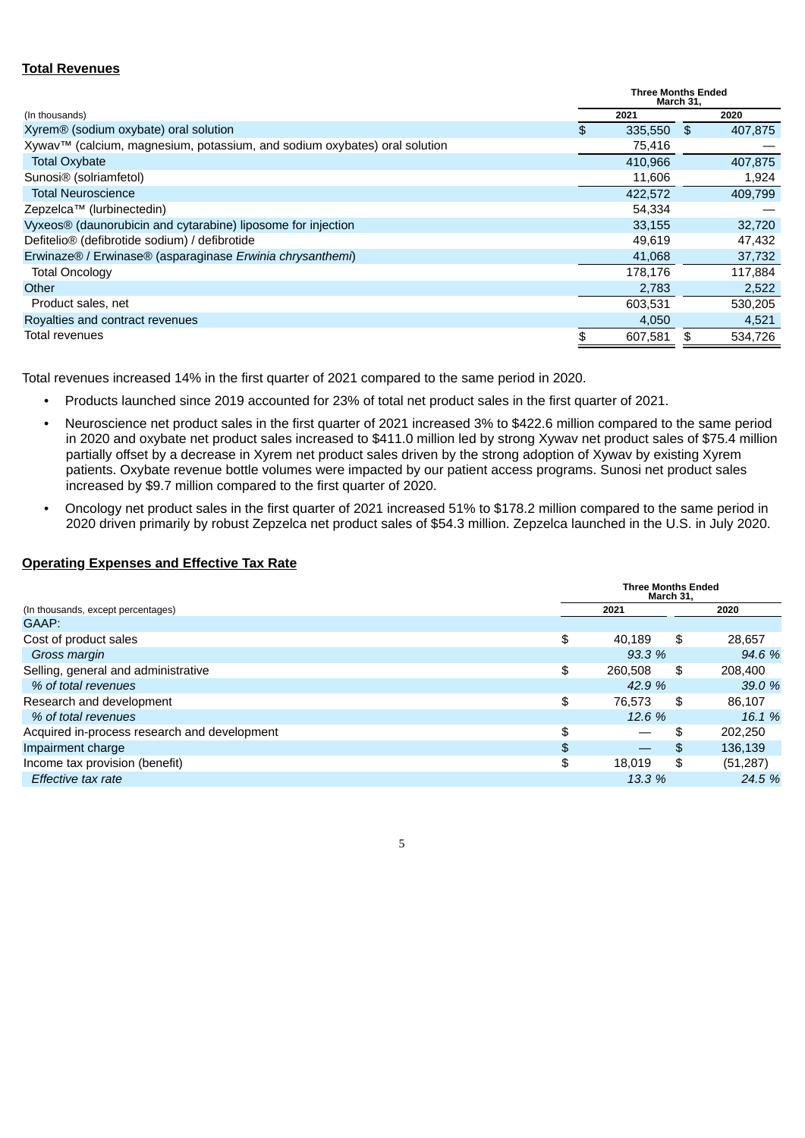### **Total Revenues**

|                                                                           | <b>Three Months Ended</b><br>March 31, |         |      |         |
|---------------------------------------------------------------------------|----------------------------------------|---------|------|---------|
| (In thousands)                                                            |                                        | 2021    |      | 2020    |
| Xyrem® (sodium oxybate) oral solution                                     | \$                                     | 335,550 | - \$ | 407,875 |
| Xywav™ (calcium, magnesium, potassium, and sodium oxybates) oral solution |                                        | 75,416  |      |         |
| <b>Total Oxybate</b>                                                      |                                        | 410,966 |      | 407,875 |
| Sunosi <sup>®</sup> (solriamfetol)                                        |                                        | 11,606  |      | 1,924   |
| <b>Total Neuroscience</b>                                                 |                                        | 422,572 |      | 409,799 |
| Zepzelca™ (lurbinectedin)                                                 |                                        | 54,334  |      |         |
| Vyxeos® (daunorubicin and cytarabine) liposome for injection              |                                        | 33,155  |      | 32,720  |
| Defitelio <sup>®</sup> (defibrotide sodium) / defibrotide                 |                                        | 49,619  |      | 47,432  |
| Erwinaze® / Erwinase® (asparaginase Erwinia chrysanthemi)                 |                                        | 41,068  |      | 37,732  |
| <b>Total Oncology</b>                                                     |                                        | 178,176 |      | 117,884 |
| Other                                                                     |                                        | 2,783   |      | 2,522   |
| Product sales, net                                                        |                                        | 603,531 |      | 530,205 |
| Royalties and contract revenues                                           |                                        | 4,050   |      | 4,521   |
| Total revenues                                                            |                                        | 607.581 |      | 534.726 |

Total revenues increased 14% in the first quarter of 2021 compared to the same period in 2020.

- Products launched since 2019 accounted for 23% of total net product sales in the first quarter of 2021.
- Neuroscience net product sales in the first quarter of 2021 increased 3% to \$422.6 million compared to the same period in 2020 and oxybate net product sales increased to \$411.0 million led by strong Xywav net product sales of \$75.4 million partially offset by a decrease in Xyrem net product sales driven by the strong adoption of Xywav by existing Xyrem patients. Oxybate revenue bottle volumes were impacted by our patient access programs. Sunosi net product sales increased by \$9.7 million compared to the first quarter of 2020.
- Oncology net product sales in the first quarter of 2021 increased 51% to \$178.2 million compared to the same period in 2020 driven primarily by robust Zepzelca net product sales of \$54.3 million. Zepzelca launched in the U.S. in July 2020.

### **Operating Expenses and Effective Tax Rate**

|                                              | <b>Three Months Ended</b><br>March 31, |         |    |           |  |
|----------------------------------------------|----------------------------------------|---------|----|-----------|--|
| (In thousands, except percentages)           |                                        | 2021    |    | 2020      |  |
| GAAP:                                        |                                        |         |    |           |  |
| Cost of product sales                        | \$                                     | 40.189  | \$ | 28,657    |  |
| Gross margin                                 |                                        | 93.3%   |    | 94.6 %    |  |
| Selling, general and administrative          | \$                                     | 260,508 | \$ | 208,400   |  |
| % of total revenues                          |                                        | 42.9 %  |    | 39.0 %    |  |
| Research and development                     | \$                                     | 76.573  | \$ | 86.107    |  |
| % of total revenues                          |                                        | 12.6%   |    | 16.1%     |  |
| Acquired in-process research and development | \$                                     |         | \$ | 202.250   |  |
| Impairment charge                            | \$                                     |         | \$ | 136,139   |  |
| Income tax provision (benefit)               | \$                                     | 18.019  | \$ | (51, 287) |  |
| Effective tax rate                           |                                        | 13.3 %  |    | 24.5 %    |  |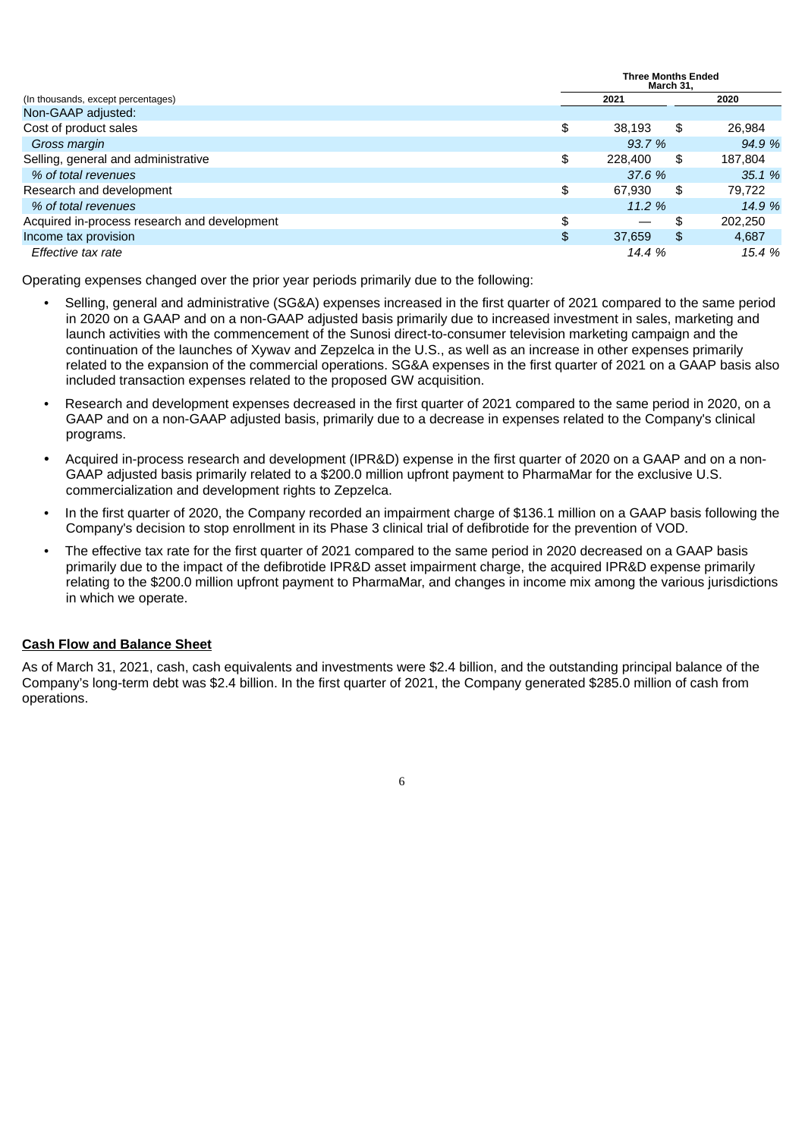|                                              |    | <b>Three Months Ended</b><br>March 31. |         |  |  |  |
|----------------------------------------------|----|----------------------------------------|---------|--|--|--|
| (In thousands, except percentages)           |    | 2021                                   | 2020    |  |  |  |
| Non-GAAP adjusted:                           |    |                                        |         |  |  |  |
| Cost of product sales                        | \$ | \$<br>38.193                           | 26,984  |  |  |  |
| Gross margin                                 |    | 93.7 %                                 | 94.9 %  |  |  |  |
| Selling, general and administrative          | \$ | 228,400<br>\$                          | 187,804 |  |  |  |
| % of total revenues                          |    | 37.6 %                                 | 35.1%   |  |  |  |
| Research and development                     | \$ | \$<br>67.930                           | 79,722  |  |  |  |
| % of total revenues                          |    | 11.2%                                  | 14.9 %  |  |  |  |
| Acquired in-process research and development | \$ | \$                                     | 202.250 |  |  |  |
| Income tax provision                         | \$ | \$<br>37,659                           | 4.687   |  |  |  |
| Effective tax rate                           |    | 14.4 %                                 | 15.4 %  |  |  |  |

Operating expenses changed over the prior year periods primarily due to the following:

- Selling, general and administrative (SG&A) expenses increased in the first quarter of 2021 compared to the same period in 2020 on a GAAP and on a non-GAAP adjusted basis primarily due to increased investment in sales, marketing and launch activities with the commencement of the Sunosi direct-to-consumer television marketing campaign and the continuation of the launches of Xywav and Zepzelca in the U.S., as well as an increase in other expenses primarily related to the expansion of the commercial operations. SG&A expenses in the first quarter of 2021 on a GAAP basis also included transaction expenses related to the proposed GW acquisition.
- Research and development expenses decreased in the first quarter of 2021 compared to the same period in 2020, on a GAAP and on a non-GAAP adjusted basis, primarily due to a decrease in expenses related to the Company's clinical programs.
- Acquired in-process research and development (IPR&D) expense in the first quarter of 2020 on a GAAP and on a non-GAAP adjusted basis primarily related to a \$200.0 million upfront payment to PharmaMar for the exclusive U.S. commercialization and development rights to Zepzelca.
- In the first quarter of 2020, the Company recorded an impairment charge of \$136.1 million on a GAAP basis following the Company's decision to stop enrollment in its Phase 3 clinical trial of defibrotide for the prevention of VOD.
- The effective tax rate for the first quarter of 2021 compared to the same period in 2020 decreased on a GAAP basis primarily due to the impact of the defibrotide IPR&D asset impairment charge, the acquired IPR&D expense primarily relating to the \$200.0 million upfront payment to PharmaMar, and changes in income mix among the various jurisdictions in which we operate.

## **Cash Flow and Balance Sheet**

As of March 31, 2021, cash, cash equivalents and investments were \$2.4 billion, and the outstanding principal balance of the Company's long-term debt was \$2.4 billion. In the first quarter of 2021, the Company generated \$285.0 million of cash from operations.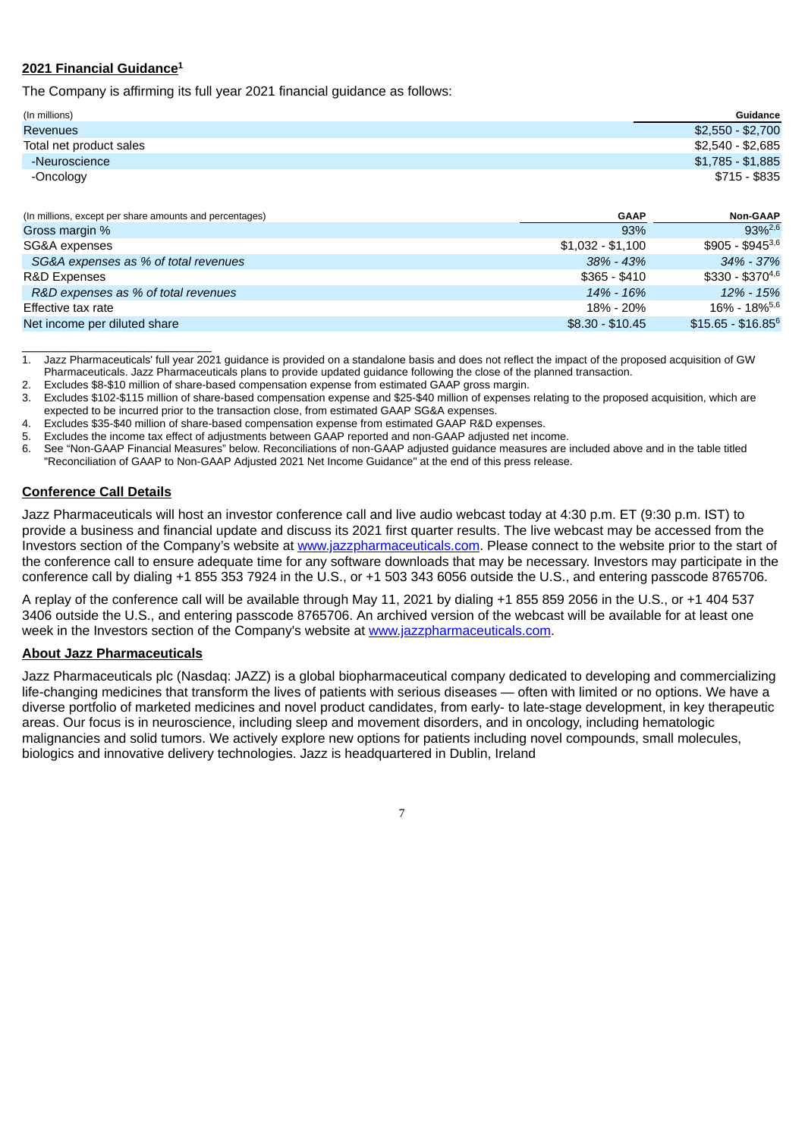## **2021 Financial Guidance 1**

The Company is affirming its full year 2021 financial guidance as follows:

| (In millions)           | Guidance          |
|-------------------------|-------------------|
| <b>Revenues</b>         | \$2,550 - \$2,700 |
| Total net product sales | \$2,540 - \$2,685 |
| -Neuroscience           | \$1,785 - \$1,885 |
| -Oncology               | \$715 - \$835     |

| (In millions, except per share amounts and percentages) | <b>GAAP</b>       | <b>Non-GAAP</b>                |
|---------------------------------------------------------|-------------------|--------------------------------|
| Gross margin %                                          | 93%               | $93\%^{2,6}$                   |
| SG&A expenses                                           | $$1.032 - $1.100$ | $$905 - $945^{3,6}$            |
| SG&A expenses as % of total revenues                    | $38\% - 43\%$     | 34% - 37%                      |
| <b>R&amp;D Expenses</b>                                 | $$365 - $410$     | $$330 - $370^{4,6}$            |
| R&D expenses as % of total revenues                     | 14% - 16%         | 12% - 15%                      |
| Effective tax rate                                      | 18% - 20%         | $16\% - 18\%$ <sup>5,6</sup>   |
| Net income per diluted share                            | $$8.30 - $10.45$  | $$15.65 - $16.85$ <sup>6</sup> |

\_\_\_\_\_\_\_\_\_\_\_\_\_\_\_\_\_\_\_\_\_\_\_\_\_\_\_\_ 1. Jazz Pharmaceuticals' full year 2021 guidance is provided on a standalone basis and does not reflect the impact of the proposed acquisition of GW Pharmaceuticals. Jazz Pharmaceuticals plans to provide updated guidance following the close of the planned transaction.

2. Excludes \$8-\$10 million of share-based compensation expense from estimated GAAP gross margin.

- 3. Excludes \$102-\$115 million of share-based compensation expense and \$25-\$40 million of expenses relating to the proposed acquisition, which are
- expected to be incurred prior to the transaction close, from estimated GAAP SG&A expenses.
- 4. Excludes \$35-\$40 million of share-based compensation expense from estimated GAAP R&D expenses.
- 5. Excludes the income tax effect of adjustments between GAAP reported and non-GAAP adjusted net income.
- 6. See "Non-GAAP Financial Measures" below. Reconciliations of non-GAAP adjusted guidance measures are included above and in the table titled "Reconciliation of GAAP to Non-GAAP Adjusted 2021 Net Income Guidance" at the end of this press release.

### **Conference Call Details**

Jazz Pharmaceuticals will host an investor conference call and live audio webcast today at 4:30 p.m. ET (9:30 p.m. IST) to provide a business and financial update and discuss its 2021 first quarter results. The live webcast may be accessed from the Investors section of the Company's website at www.jazzpharmaceuticals.com. Please connect to the website prior to the start of the conference call to ensure adequate time for any software downloads that may be necessary. Investors may participate in the conference call by dialing +1 855 353 7924 in the U.S., or +1 503 343 6056 outside the U.S., and entering passcode 8765706.

A replay of the conference call will be available through May 11, 2021 by dialing +1 855 859 2056 in the U.S., or +1 404 537 3406 outside the U.S., and entering passcode 8765706. An archived version of the webcast will be available for at least one week in the Investors section of the Company's website at www.jazzpharmaceuticals.com.

### **About Jazz Pharmaceuticals**

Jazz Pharmaceuticals plc (Nasdaq: JAZZ) is a global biopharmaceutical company dedicated to developing and commercializing life-changing medicines that transform the lives of patients with serious diseases — often with limited or no options. We have a diverse portfolio of marketed medicines and novel product candidates, from early- to late-stage development, in key therapeutic areas. Our focus is in neuroscience, including sleep and movement disorders, and in oncology, including hematologic malignancies and solid tumors. We actively explore new options for patients including novel compounds, small molecules, biologics and innovative delivery technologies. Jazz is headquartered in Dublin, Ireland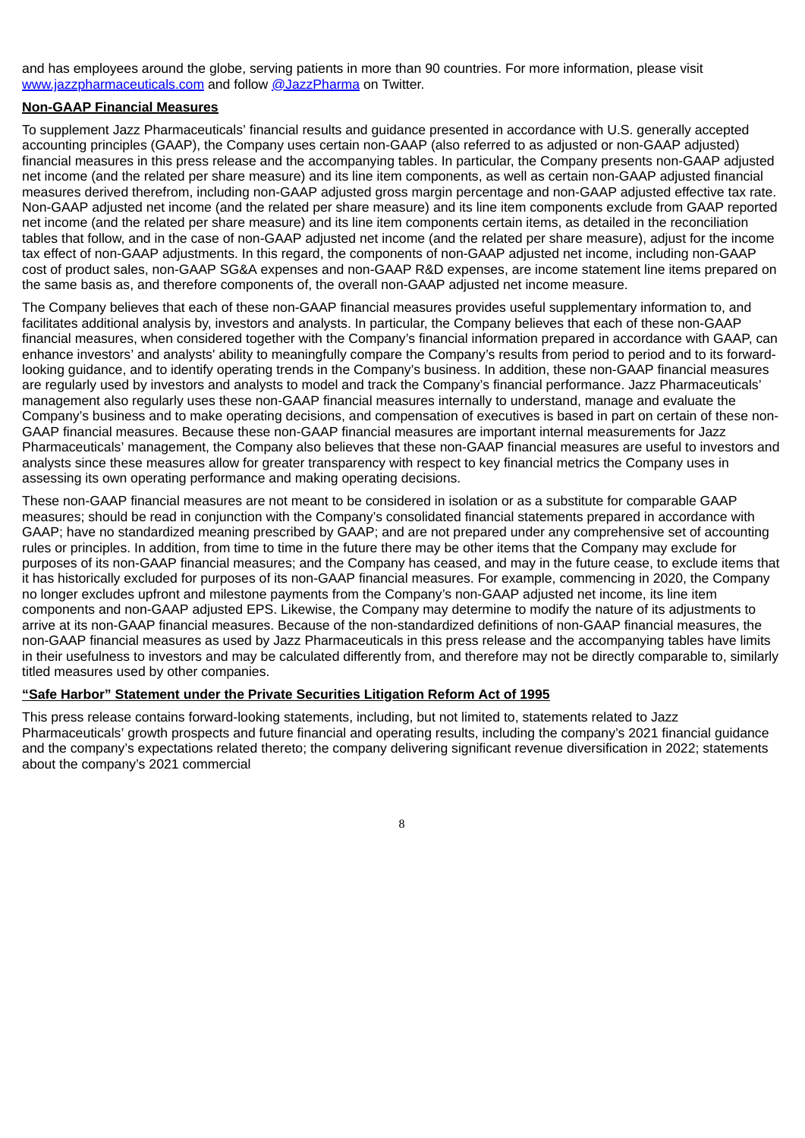and has employees around the globe, serving patients in more than 90 countries. For more information, please visit www.jazzpharmaceuticals.com and follow @JazzPharma on Twitter.

#### **Non-GAAP Financial Measures**

To supplement Jazz Pharmaceuticals' financial results and guidance presented in accordance with U.S. generally accepted accounting principles (GAAP), the Company uses certain non-GAAP (also referred to as adjusted or non-GAAP adjusted) financial measures in this press release and the accompanying tables. In particular, the Company presents non-GAAP adjusted net income (and the related per share measure) and its line item components, as well as certain non-GAAP adjusted financial measures derived therefrom, including non-GAAP adjusted gross margin percentage and non-GAAP adjusted effective tax rate. Non-GAAP adjusted net income (and the related per share measure) and its line item components exclude from GAAP reported net income (and the related per share measure) and its line item components certain items, as detailed in the reconciliation tables that follow, and in the case of non-GAAP adjusted net income (and the related per share measure), adjust for the income tax effect of non-GAAP adjustments. In this regard, the components of non-GAAP adjusted net income, including non-GAAP cost of product sales, non-GAAP SG&A expenses and non-GAAP R&D expenses, are income statement line items prepared on the same basis as, and therefore components of, the overall non-GAAP adjusted net income measure.

The Company believes that each of these non-GAAP financial measures provides useful supplementary information to, and facilitates additional analysis by, investors and analysts. In particular, the Company believes that each of these non-GAAP financial measures, when considered together with the Company's financial information prepared in accordance with GAAP, can enhance investors' and analysts' ability to meaningfully compare the Company's results from period to period and to its forwardlooking guidance, and to identify operating trends in the Company's business. In addition, these non-GAAP financial measures are regularly used by investors and analysts to model and track the Company's financial performance. Jazz Pharmaceuticals' management also regularly uses these non-GAAP financial measures internally to understand, manage and evaluate the Company's business and to make operating decisions, and compensation of executives is based in part on certain of these non-GAAP financial measures. Because these non-GAAP financial measures are important internal measurements for Jazz Pharmaceuticals' management, the Company also believes that these non-GAAP financial measures are useful to investors and analysts since these measures allow for greater transparency with respect to key financial metrics the Company uses in assessing its own operating performance and making operating decisions.

These non-GAAP financial measures are not meant to be considered in isolation or as a substitute for comparable GAAP measures; should be read in conjunction with the Company's consolidated financial statements prepared in accordance with GAAP; have no standardized meaning prescribed by GAAP; and are not prepared under any comprehensive set of accounting rules or principles. In addition, from time to time in the future there may be other items that the Company may exclude for purposes of its non-GAAP financial measures; and the Company has ceased, and may in the future cease, to exclude items that it has historically excluded for purposes of its non-GAAP financial measures. For example, commencing in 2020, the Company no longer excludes upfront and milestone payments from the Company's non-GAAP adjusted net income, its line item components and non-GAAP adjusted EPS. Likewise, the Company may determine to modify the nature of its adjustments to arrive at its non-GAAP financial measures. Because of the non-standardized definitions of non-GAAP financial measures, the non-GAAP financial measures as used by Jazz Pharmaceuticals in this press release and the accompanying tables have limits in their usefulness to investors and may be calculated differently from, and therefore may not be directly comparable to, similarly titled measures used by other companies.

#### **"Safe Harbor" Statement under the Private Securities Litigation Reform Act of 1995**

This press release contains forward-looking statements, including, but not limited to, statements related to Jazz Pharmaceuticals' growth prospects and future financial and operating results, including the company's 2021 financial guidance and the company's expectations related thereto; the company delivering significant revenue diversification in 2022; statements about the company's 2021 commercial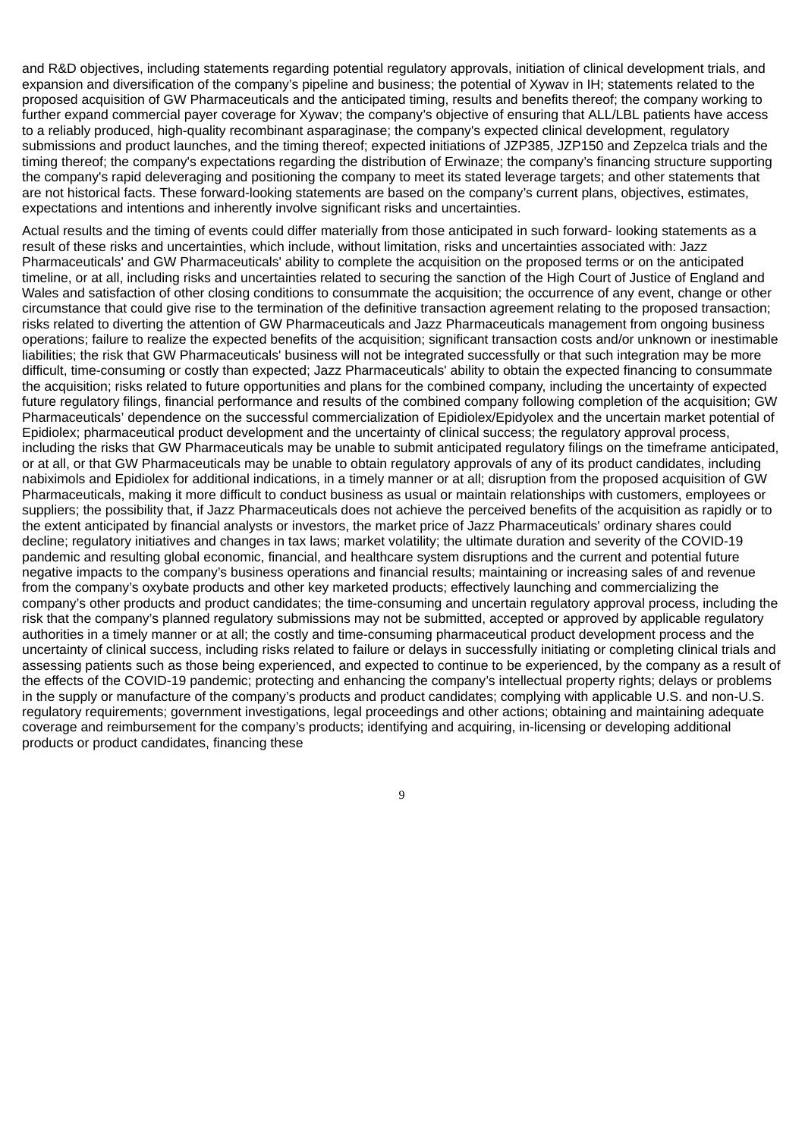and R&D objectives, including statements regarding potential regulatory approvals, initiation of clinical development trials, and expansion and diversification of the company's pipeline and business; the potential of Xywav in IH; statements related to the proposed acquisition of GW Pharmaceuticals and the anticipated timing, results and benefits thereof; the company working to further expand commercial payer coverage for Xywav; the company's objective of ensuring that ALL/LBL patients have access to a reliably produced, high-quality recombinant asparaginase; the company's expected clinical development, regulatory submissions and product launches, and the timing thereof; expected initiations of JZP385, JZP150 and Zepzelca trials and the timing thereof; the company's expectations regarding the distribution of Erwinaze; the company's financing structure supporting the company's rapid deleveraging and positioning the company to meet its stated leverage targets; and other statements that are not historical facts. These forward-looking statements are based on the company's current plans, objectives, estimates, expectations and intentions and inherently involve significant risks and uncertainties.

Actual results and the timing of events could differ materially from those anticipated in such forward- looking statements as a result of these risks and uncertainties, which include, without limitation, risks and uncertainties associated with: Jazz Pharmaceuticals' and GW Pharmaceuticals' ability to complete the acquisition on the proposed terms or on the anticipated timeline, or at all, including risks and uncertainties related to securing the sanction of the High Court of Justice of England and Wales and satisfaction of other closing conditions to consummate the acquisition; the occurrence of any event, change or other circumstance that could give rise to the termination of the definitive transaction agreement relating to the proposed transaction; risks related to diverting the attention of GW Pharmaceuticals and Jazz Pharmaceuticals management from ongoing business operations; failure to realize the expected benefits of the acquisition; significant transaction costs and/or unknown or inestimable liabilities; the risk that GW Pharmaceuticals' business will not be integrated successfully or that such integration may be more difficult, time-consuming or costly than expected; Jazz Pharmaceuticals' ability to obtain the expected financing to consummate the acquisition; risks related to future opportunities and plans for the combined company, including the uncertainty of expected future regulatory filings, financial performance and results of the combined company following completion of the acquisition; GW Pharmaceuticals' dependence on the successful commercialization of Epidiolex/Epidyolex and the uncertain market potential of Epidiolex; pharmaceutical product development and the uncertainty of clinical success; the regulatory approval process, including the risks that GW Pharmaceuticals may be unable to submit anticipated regulatory filings on the timeframe anticipated, or at all, or that GW Pharmaceuticals may be unable to obtain regulatory approvals of any of its product candidates, including nabiximols and Epidiolex for additional indications, in a timely manner or at all; disruption from the proposed acquisition of GW Pharmaceuticals, making it more difficult to conduct business as usual or maintain relationships with customers, employees or suppliers; the possibility that, if Jazz Pharmaceuticals does not achieve the perceived benefits of the acquisition as rapidly or to the extent anticipated by financial analysts or investors, the market price of Jazz Pharmaceuticals' ordinary shares could decline; regulatory initiatives and changes in tax laws; market volatility; the ultimate duration and severity of the COVID-19 pandemic and resulting global economic, financial, and healthcare system disruptions and the current and potential future negative impacts to the company's business operations and financial results; maintaining or increasing sales of and revenue from the company's oxybate products and other key marketed products; effectively launching and commercializing the company's other products and product candidates; the time-consuming and uncertain regulatory approval process, including the risk that the company's planned regulatory submissions may not be submitted, accepted or approved by applicable regulatory authorities in a timely manner or at all; the costly and time-consuming pharmaceutical product development process and the uncertainty of clinical success, including risks related to failure or delays in successfully initiating or completing clinical trials and assessing patients such as those being experienced, and expected to continue to be experienced, by the company as a result of the effects of the COVID-19 pandemic; protecting and enhancing the company's intellectual property rights; delays or problems in the supply or manufacture of the company's products and product candidates; complying with applicable U.S. and non-U.S. regulatory requirements; government investigations, legal proceedings and other actions; obtaining and maintaining adequate coverage and reimbursement for the company's products; identifying and acquiring, in-licensing or developing additional products or product candidates, financing these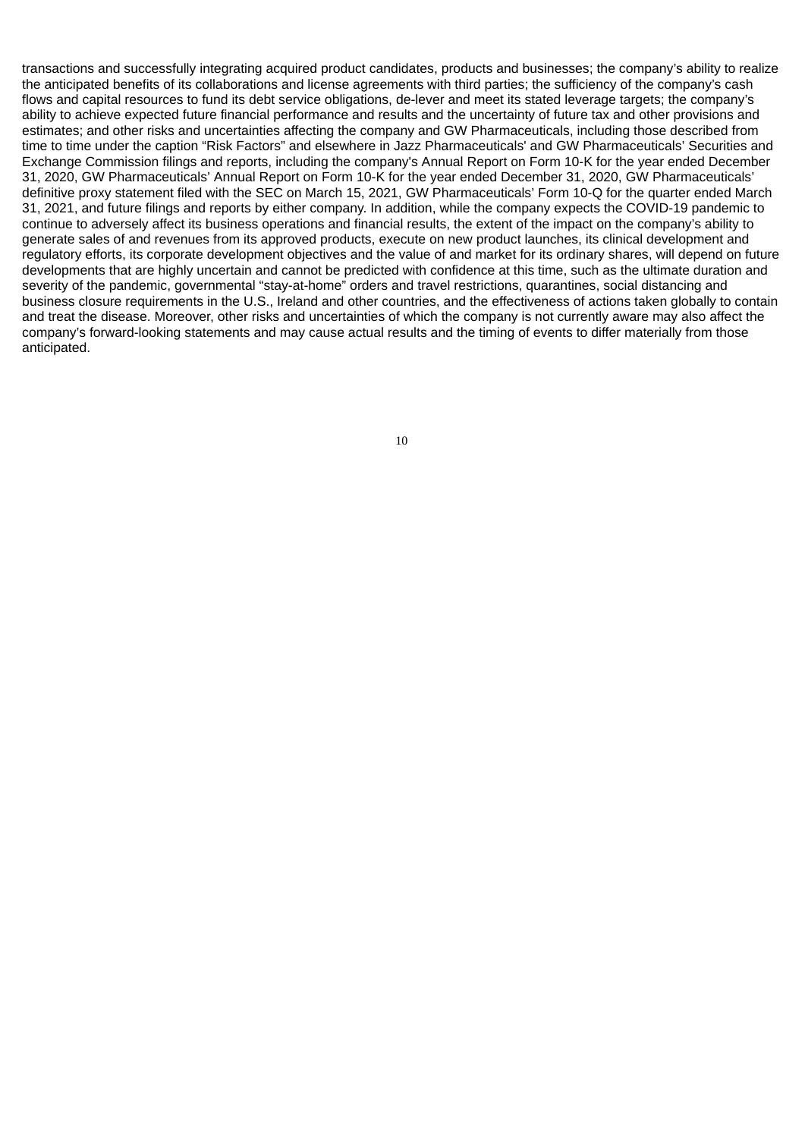transactions and successfully integrating acquired product candidates, products and businesses; the company's ability to realize the anticipated benefits of its collaborations and license agreements with third parties; the sufficiency of the company's cash flows and capital resources to fund its debt service obligations, de-lever and meet its stated leverage targets; the company's ability to achieve expected future financial performance and results and the uncertainty of future tax and other provisions and estimates; and other risks and uncertainties affecting the company and GW Pharmaceuticals, including those described from time to time under the caption "Risk Factors" and elsewhere in Jazz Pharmaceuticals' and GW Pharmaceuticals' Securities and Exchange Commission filings and reports, including the company's Annual Report on Form 10-K for the year ended December 31, 2020, GW Pharmaceuticals' Annual Report on Form 10-K for the year ended December 31, 2020, GW Pharmaceuticals' definitive proxy statement filed with the SEC on March 15, 2021, GW Pharmaceuticals' Form 10-Q for the quarter ended March 31, 2021, and future filings and reports by either company. In addition, while the company expects the COVID-19 pandemic to continue to adversely affect its business operations and financial results, the extent of the impact on the company's ability to generate sales of and revenues from its approved products, execute on new product launches, its clinical development and regulatory efforts, its corporate development objectives and the value of and market for its ordinary shares, will depend on future developments that are highly uncertain and cannot be predicted with confidence at this time, such as the ultimate duration and severity of the pandemic, governmental "stay-at-home" orders and travel restrictions, quarantines, social distancing and business closure requirements in the U.S., Ireland and other countries, and the effectiveness of actions taken globally to contain and treat the disease. Moreover, other risks and uncertainties of which the company is not currently aware may also affect the company's forward-looking statements and may cause actual results and the timing of events to differ materially from those anticipated.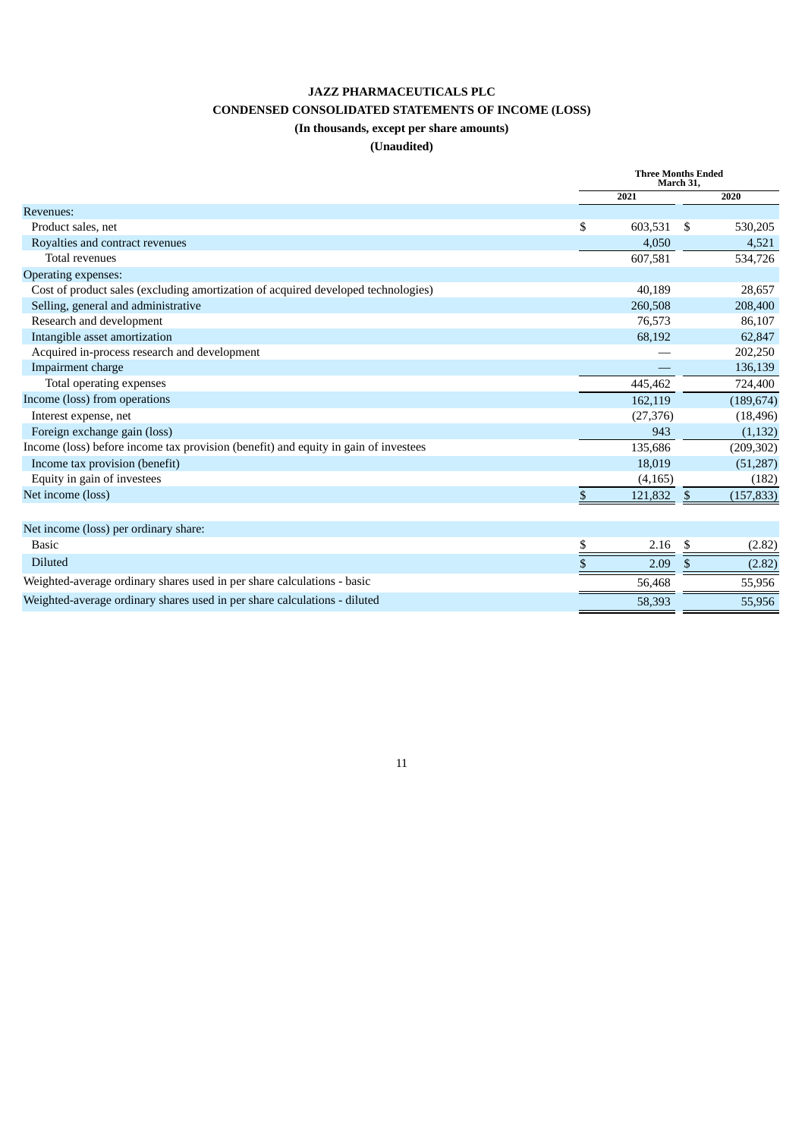### **JAZZ PHARMACEUTICALS PLC**

# **CONDENSED CONSOLIDATED STATEMENTS OF INCOME (LOSS)**

# **(In thousands, except per share amounts)**

## **(Unaudited)**

|                                                                                     | <b>Three Months Ended</b><br>March 31. |           |            |
|-------------------------------------------------------------------------------------|----------------------------------------|-----------|------------|
|                                                                                     | 2021                                   |           | 2020       |
| Revenues:                                                                           |                                        |           |            |
| Product sales, net                                                                  | \$<br>603,531                          | -\$       | 530,205    |
| Royalties and contract revenues                                                     | 4,050                                  |           | 4,521      |
| <b>Total revenues</b>                                                               | 607,581                                |           | 534,726    |
| Operating expenses:                                                                 |                                        |           |            |
| Cost of product sales (excluding amortization of acquired developed technologies)   | 40,189                                 |           | 28,657     |
| Selling, general and administrative                                                 | 260,508                                |           | 208,400    |
| Research and development                                                            | 76,573                                 |           | 86,107     |
| Intangible asset amortization                                                       | 68,192                                 |           | 62,847     |
| Acquired in-process research and development                                        |                                        |           | 202,250    |
| Impairment charge                                                                   |                                        |           | 136,139    |
| Total operating expenses                                                            | 445,462                                |           | 724,400    |
| Income (loss) from operations                                                       | 162,119                                |           | (189, 674) |
| Interest expense, net                                                               | (27, 376)                              |           | (18, 496)  |
| Foreign exchange gain (loss)                                                        | 943                                    |           | (1, 132)   |
| Income (loss) before income tax provision (benefit) and equity in gain of investees | 135,686                                |           | (209, 302) |
| Income tax provision (benefit)                                                      | 18,019                                 |           | (51, 287)  |
| Equity in gain of investees                                                         | (4, 165)                               |           | (182)      |
| Net income (loss)                                                                   | \$<br>121,832                          | <u>\$</u> | (157, 833) |
|                                                                                     |                                        |           |            |
| Net income (loss) per ordinary share:                                               |                                        |           |            |
| <b>Basic</b>                                                                        | \$<br>2.16                             | \$        | (2.82)     |
| <b>Diluted</b>                                                                      | \$<br>2.09                             | \$.       | (2.82)     |
| Weighted-average ordinary shares used in per share calculations - basic             | 56,468                                 |           | 55,956     |
| Weighted-average ordinary shares used in per share calculations - diluted           | 58,393                                 |           | 55,956     |
|                                                                                     |                                        |           |            |

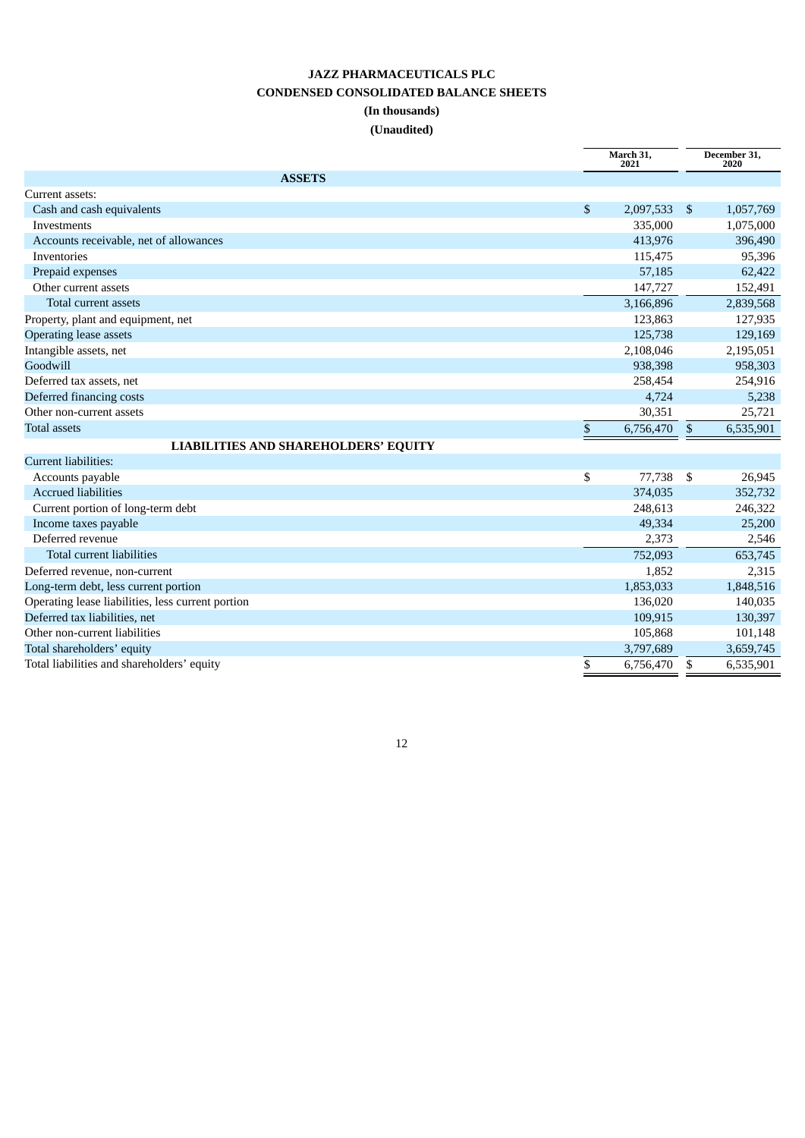# **JAZZ PHARMACEUTICALS PLC CONDENSED CONSOLIDATED BALANCE SHEETS (In thousands) (Unaudited)**

|                                                   |              | March 31,<br>2021 |      | December 31,<br>2020 |
|---------------------------------------------------|--------------|-------------------|------|----------------------|
| <b>ASSETS</b>                                     |              |                   |      |                      |
| Current assets:                                   |              |                   |      |                      |
| Cash and cash equivalents                         | \$           | 2,097,533         | - \$ | 1,057,769            |
| Investments                                       |              | 335,000           |      | 1,075,000            |
| Accounts receivable, net of allowances            |              | 413,976           |      | 396,490              |
| Inventories                                       |              | 115,475           |      | 95,396               |
| Prepaid expenses                                  |              | 57,185            |      | 62,422               |
| Other current assets                              |              | 147,727           |      | 152,491              |
| Total current assets                              |              | 3,166,896         |      | 2,839,568            |
| Property, plant and equipment, net                |              | 123,863           |      | 127,935              |
| <b>Operating lease assets</b>                     |              | 125,738           |      | 129,169              |
| Intangible assets, net                            |              | 2,108,046         |      | 2,195,051            |
| Goodwill                                          |              | 938,398           |      | 958,303              |
| Deferred tax assets, net                          |              | 258,454           |      | 254,916              |
| Deferred financing costs                          |              | 4,724             |      | 5,238                |
| Other non-current assets                          |              | 30,351            |      | 25,721               |
| <b>Total assets</b>                               | $\mathbb{S}$ | 6,756,470         | \$   | 6,535,901            |
| <b>LIABILITIES AND SHAREHOLDERS' EQUITY</b>       |              |                   |      |                      |
| <b>Current liabilities:</b>                       |              |                   |      |                      |
| Accounts payable                                  | \$           | 77,738            | - \$ | 26,945               |
| <b>Accrued liabilities</b>                        |              | 374,035           |      | 352,732              |
| Current portion of long-term debt                 |              | 248.613           |      | 246,322              |
| Income taxes payable                              |              | 49,334            |      | 25,200               |
| Deferred revenue                                  |              | 2,373             |      | 2,546                |
| <b>Total current liabilities</b>                  |              | 752,093           |      | 653,745              |
| Deferred revenue, non-current                     |              | 1,852             |      | 2,315                |
| Long-term debt, less current portion              |              | 1,853,033         |      | 1,848,516            |
| Operating lease liabilities, less current portion |              | 136,020           |      | 140,035              |
| Deferred tax liabilities, net                     |              | 109,915           |      | 130,397              |
| Other non-current liabilities                     |              | 105,868           |      | 101,148              |
| Total shareholders' equity                        |              | 3,797,689         |      | 3,659,745            |
| Total liabilities and shareholders' equity        | \$           | 6,756,470         | \$   | 6,535,901            |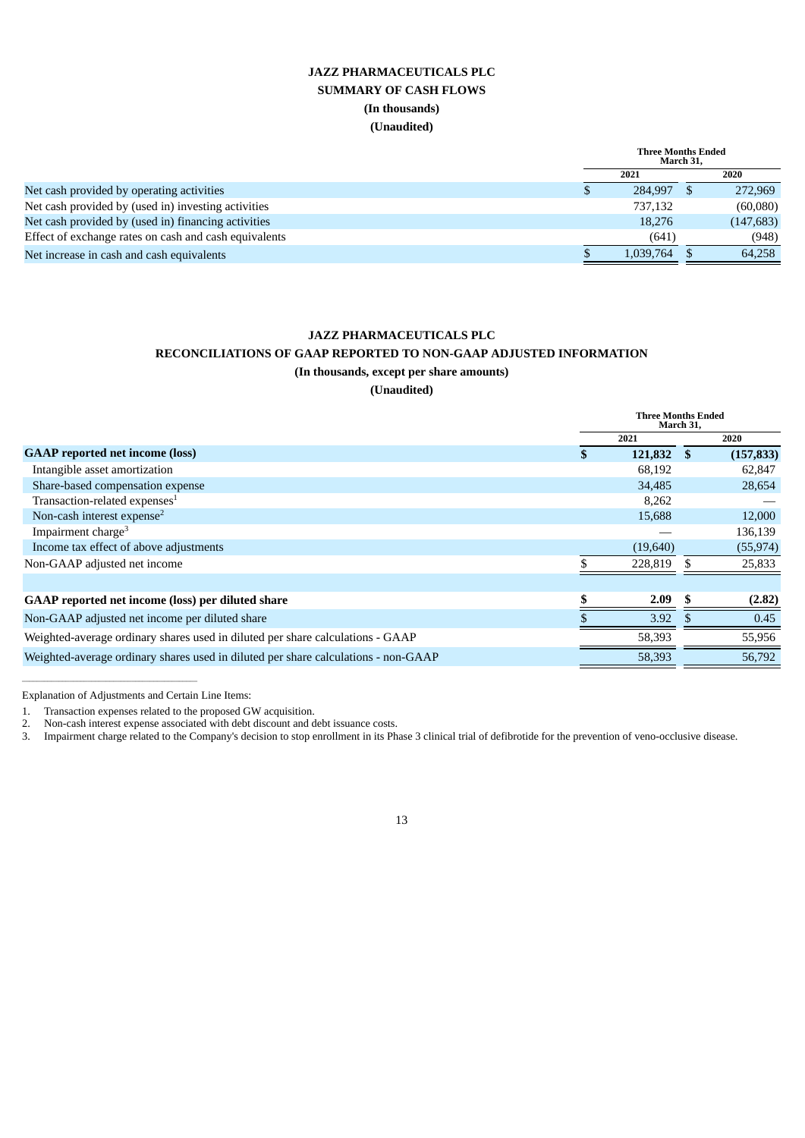## **JAZZ PHARMACEUTICALS PLC SUMMARY OF CASH FLOWS (In thousands) (Unaudited)**

|                                                       | <b>Three Months Ended</b><br>March 31. |  |            |
|-------------------------------------------------------|----------------------------------------|--|------------|
|                                                       | 2021                                   |  | 2020       |
| Net cash provided by operating activities             | 284,997 \$                             |  | 272,969    |
| Net cash provided by (used in) investing activities   | 737,132                                |  | (60,080)   |
| Net cash provided by (used in) financing activities   | 18.276                                 |  | (147, 683) |
| Effect of exchange rates on cash and cash equivalents | (641)                                  |  | (948)      |
| Net increase in cash and cash equivalents             | 1.039.764                              |  | 64.258     |

### **JAZZ PHARMACEUTICALS PLC**

### **RECONCILIATIONS OF GAAP REPORTED TO NON-GAAP ADJUSTED INFORMATION**

**(In thousands, except per share amounts)**

**(Unaudited)**

|                                                                                    |   | <b>Three Months Ended</b><br>March 31, |      |            |  |
|------------------------------------------------------------------------------------|---|----------------------------------------|------|------------|--|
|                                                                                    |   | 2021                                   | 2020 |            |  |
| <b>GAAP</b> reported net income (loss)                                             | S | 121,832 \$                             |      | (157, 833) |  |
| Intangible asset amortization                                                      |   | 68,192                                 |      | 62,847     |  |
| Share-based compensation expense                                                   |   | 34,485                                 |      | 28,654     |  |
| Transaction-related expenses <sup>1</sup>                                          |   | 8,262                                  |      |            |  |
| Non-cash interest expense <sup>2</sup>                                             |   | 15,688                                 |      | 12,000     |  |
| Impairment charge <sup>3</sup>                                                     |   |                                        |      | 136,139    |  |
| Income tax effect of above adjustments                                             |   | (19,640)                               |      | (55, 974)  |  |
| Non-GAAP adjusted net income                                                       |   | 228,819                                |      | 25,833     |  |
|                                                                                    |   |                                        |      |            |  |
| GAAP reported net income (loss) per diluted share                                  |   | 2.09                                   |      | (2.82)     |  |
| Non-GAAP adjusted net income per diluted share                                     |   | 3.92                                   |      | 0.45       |  |
| Weighted-average ordinary shares used in diluted per share calculations - GAAP     |   | 58,393                                 |      | 55,956     |  |
| Weighted-average ordinary shares used in diluted per share calculations - non-GAAP |   | 58.393                                 |      | 56,792     |  |

Explanation of Adjustments and Certain Line Items:

 $\mathcal{L}_\text{max}$  and  $\mathcal{L}_\text{max}$  and  $\mathcal{L}_\text{max}$  and  $\mathcal{L}_\text{max}$ 

1. Transaction expenses related to the proposed GW acquisition.

2. Non-cash interest expense associated with debt discount and debt issuance costs.

3. Impairment charge related to the Company's decision to stop enrollment in its Phase 3 clinical trial of defibrotide for the prevention of veno-occlusive disease.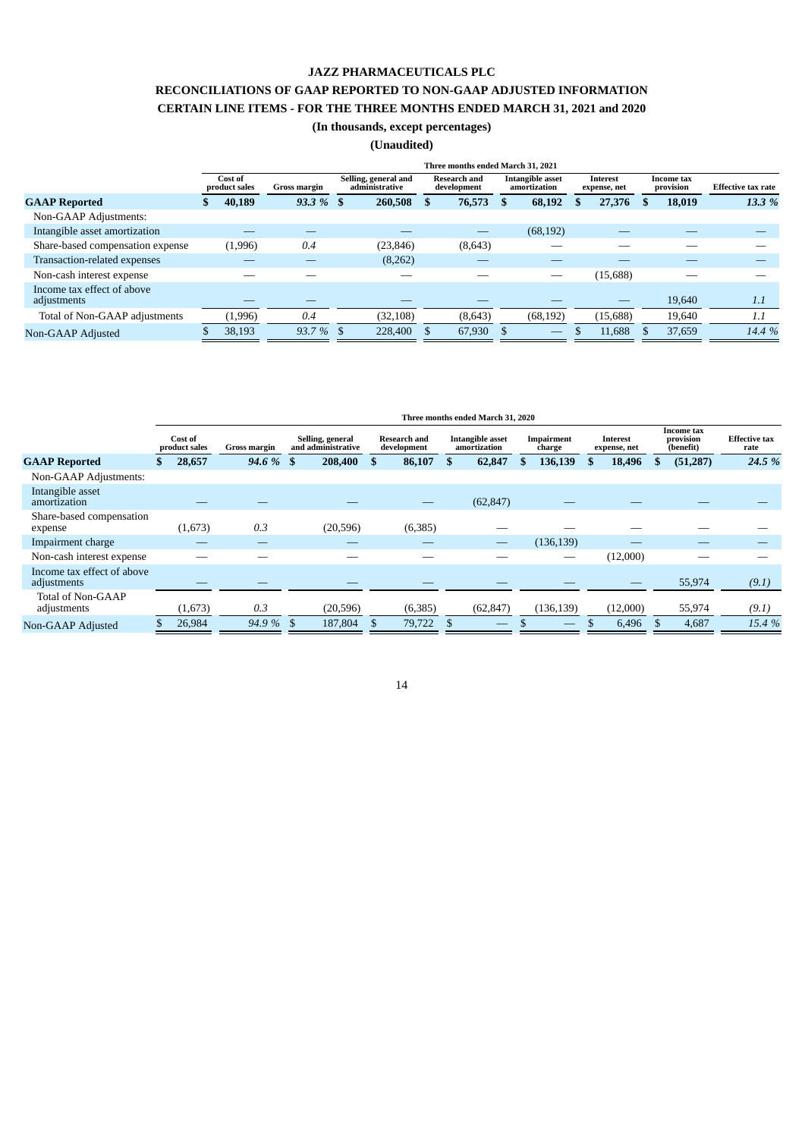### **JAZZ PHARMACEUTICALS PLC**

## **RECONCILIATIONS OF GAAP REPORTED TO NON-GAAP ADJUSTED INFORMATION CERTAIN LINE ITEMS - FOR THE THREE MONTHS ENDED MARCH 31, 2021 and 2020**

### **(In thousands, except percentages)**

**(Unaudited)**

|                                           | Three months ended March 31, 2021 |         |              |  |                                        |                                    |         |     |                                         |   |                          |  |                         |                           |
|-------------------------------------------|-----------------------------------|---------|--------------|--|----------------------------------------|------------------------------------|---------|-----|-----------------------------------------|---|--------------------------|--|-------------------------|---------------------------|
|                                           | Cost of<br>product sales          |         | Gross margin |  | Selling, general and<br>administrative | <b>Research and</b><br>development |         |     | <b>Intangible asset</b><br>amortization |   | Interest<br>expense, net |  | Income tax<br>provision | <b>Effective tax rate</b> |
| <b>GAAP Reported</b>                      |                                   | 40,189  | $93.3\%$ \$  |  | 260,508                                | s                                  | 76,573  | \$. | 68,192                                  | S | 27,376                   |  | 18,019                  | 13.3 %                    |
| Non-GAAP Adjustments:                     |                                   |         |              |  |                                        |                                    |         |     |                                         |   |                          |  |                         |                           |
| Intangible asset amortization             |                                   |         |              |  |                                        |                                    |         |     | (68, 192)                               |   |                          |  |                         |                           |
| Share-based compensation expense          |                                   | (1,996) | 0.4          |  | (23, 846)                              |                                    | (8,643) |     |                                         |   |                          |  |                         |                           |
| Transaction-related expenses              |                                   |         |              |  | (8,262)                                |                                    |         |     |                                         |   |                          |  |                         |                           |
| Non-cash interest expense                 |                                   |         |              |  |                                        |                                    |         |     |                                         |   | (15,688)                 |  |                         |                           |
| Income tax effect of above<br>adjustments |                                   |         |              |  |                                        |                                    |         |     |                                         |   |                          |  | 19,640                  | 1.1                       |
| Total of Non-GAAP adjustments             |                                   | (1,996) | 0.4          |  | (32, 108)                              |                                    | (8,643) |     | (68, 192)                               |   | (15, 688)                |  | 19,640                  | 1.1                       |
| Non-GAAP Adjusted                         |                                   | 38,193  | $93.7\%$ \$  |  | 228,400                                |                                    | 67,930  |     | $-$                                     |   | 11,688                   |  | 37,659                  | 14.4 %                    |

|                                           | Three months ended March 31, 2020 |                          |                     |                                        |           |                                    |         |                                  |           |                      |            |                          |          |                                      |           |                              |  |
|-------------------------------------------|-----------------------------------|--------------------------|---------------------|----------------------------------------|-----------|------------------------------------|---------|----------------------------------|-----------|----------------------|------------|--------------------------|----------|--------------------------------------|-----------|------------------------------|--|
|                                           |                                   | Cost of<br>product sales | <b>Gross margin</b> | Selling, general<br>and administrative |           | <b>Research and</b><br>development |         | Intangible asset<br>amortization |           | Impairment<br>charge |            | Interest<br>expense, net |          | Income tax<br>provision<br>(benefit) |           | <b>Effective tax</b><br>rate |  |
| <b>GAAP Reported</b>                      |                                   | 28,657                   | $94.6 \%$ \$        |                                        | 208,400   | $\mathbf{s}$                       | 86,107  | \$.                              | 62,847    | S                    | 136,139    |                          | 18,496   |                                      | (51, 287) | 24.5 %                       |  |
| Non-GAAP Adjustments:                     |                                   |                          |                     |                                        |           |                                    |         |                                  |           |                      |            |                          |          |                                      |           |                              |  |
| Intangible asset<br>amortization          |                                   |                          |                     |                                        |           |                                    |         |                                  | (62, 847) |                      |            |                          |          |                                      |           |                              |  |
| Share-based compensation<br>expense       |                                   | (1,673)                  | 0.3                 |                                        | (20, 596) |                                    | (6,385) |                                  |           |                      |            |                          |          |                                      |           |                              |  |
| Impairment charge                         |                                   |                          |                     |                                        | __        |                                    |         |                                  | _         |                      | (136, 139) |                          |          |                                      |           |                              |  |
| Non-cash interest expense                 |                                   |                          |                     |                                        |           |                                    |         |                                  |           |                      |            |                          | (12,000) |                                      |           |                              |  |
| Income tax effect of above<br>adjustments |                                   |                          |                     |                                        |           |                                    |         |                                  |           |                      |            |                          |          |                                      | 55,974    | (9.1)                        |  |
| Total of Non-GAAP<br>adjustments          |                                   | (1,673)                  | 0.3                 |                                        | (20, 596) |                                    | (6,385) |                                  | (62, 847) |                      | (136, 139) |                          | (12,000) |                                      | 55,974    | (9.1)                        |  |
| Non-GAAP Adjusted                         |                                   | 26,984                   | $94.9\%$ \$         |                                        | 187,804   |                                    | 79,722  |                                  |           |                      | _          |                          | 6,496    |                                      | 4,687     | 15.4 %                       |  |